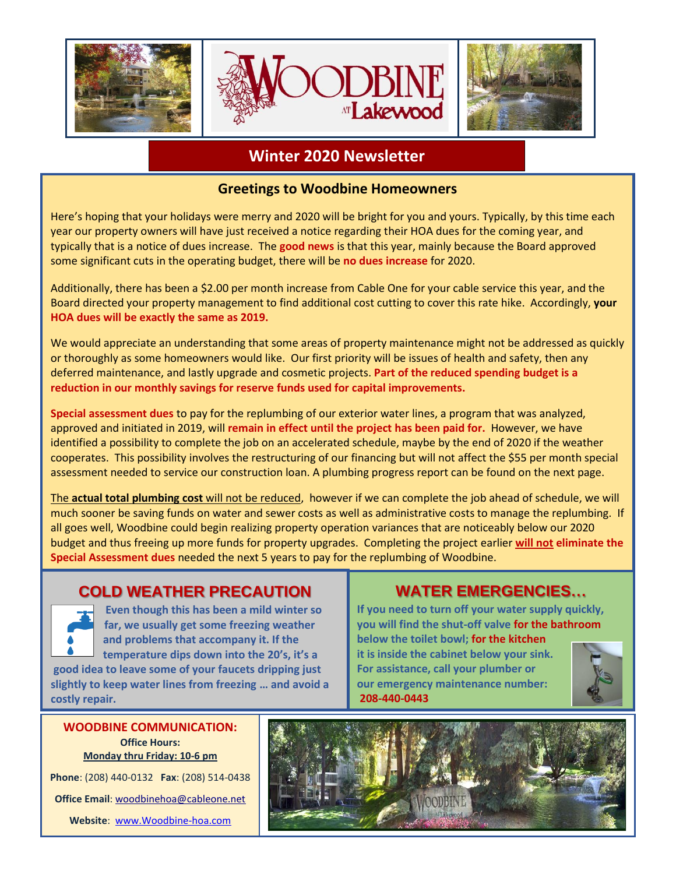

#### **Winter 2020 Newsletter**

#### **Greetings to Woodbine Homeowners**

Here's hoping that your holidays were merry and 2020 will be bright for you and yours. Typically, by this time each year our property owners will have just received a notice regarding their HOA dues for the coming year, and typically that is a notice of dues increase. The **good news** is that this year, mainly because the Board approved some significant cuts in the operating budget, there will be **no dues increase** for 2020.

Additionally, there has been a \$2.00 per month increase from Cable One for your cable service this year, and the Board directed your property management to find additional cost cutting to cover this rate hike. Accordingly, **your HOA dues will be exactly the same as 2019.**

We would appreciate an understanding that some areas of property maintenance might not be addressed as quickly or thoroughly as some homeowners would like. Our first priority will be issues of health and safety, then any deferred maintenance, and lastly upgrade and cosmetic projects. **Part of the reduced spending budget is a reduction in our monthly savings for reserve funds used for capital improvements.**

**Special assessment dues** to pay for the replumbing of our exterior water lines, a program that was analyzed, approved and initiated in 2019, will **remain in effect until the project has been paid for.** However, we have identified a possibility to complete the job on an accelerated schedule, maybe by the end of 2020 if the weather cooperates. This possibility involves the restructuring of our financing but will not affect the \$55 per month special assessment needed to service our construction loan. A plumbing progress report can be found on the next page.

The **actual total plumbing cost** will not be reduced, however if we can complete the job ahead of schedule, we will much sooner be saving funds on water and sewer costs as well as administrative costs to manage the replumbing. If all goes well, Woodbine could begin realizing property operation variances that are noticeably below our 2020 budget and thus freeing up more funds for property upgrades. Completing the project earlier **will not eliminate the Special Assessment dues** needed the next 5 years to pay for the replumbing of Woodbine.

### **COLD WEATHER PRECAUTION**



 **Even though this has been a mild winter so far, we usually get some freezing weather and problems that accompany it. If the temperature dips down into the 20's, it's a good idea to leave some of your faucets dripping just** 

**slightly to keep water lines from freezing … and avoid a costly repair.**

**Office Hours: Monday thru Friday: 10-6 pm**

**Phone**: (208) 440-0132 **Fax**: (208) 514-0438 **Office Email**[: woodbinehoa@cableone.net](mailto:woodbinehoa@cableone.net) **Website**: [www.Woodbine-hoa.com](http://www.woodbine-hoa.com/)

## **WATER EMERGENCIES…**

**If you need to turn off your water supply quickly, you will find the shut-off valve for the bathroom below the toilet bowl; for the kitchen it is inside the cabinet below your sink. For assistance, call your plumber or** 





**our emergency maintenance number:**

**208-440-0443**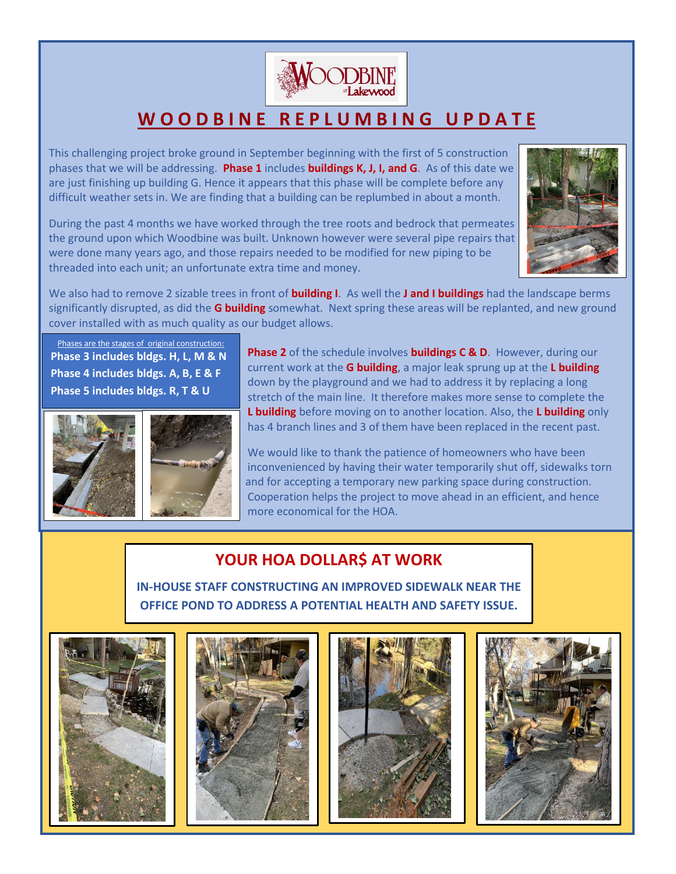

# **W O O D B I N E R E P L U M B I N G U P D A T E**

This challenging project broke ground in September beginning with the first of 5 construction phases that we will be addressing. **Phase 1** includes **buildings K, J, I, and G**. As of this date we are just finishing up building G. Hence it appears that this phase will be complete before any difficult weather sets in. We are finding that a building can be replumbed in about a month.

**K** the ground upon which Woodbine was built. Unknown however were several pipe repairs that During the past 4 months we have worked through the tree roots and bedrock that permeates were done many years ago, and those repairs needed to be modified for new piping to be threaded into each unit; an unfortunate extra time and money.



We also had to remove 2 sizable trees in front of **building I**. As well the **J and I buildings** had the landscape berms significantly disrupted, as did the **G building** somewhat. Next spring these areas will be replanted, and new ground cover installed with as much quality as our budget allows.

Phases are the stages of original construction: **Phase 3 includes bldgs. H, L, M & N Phase 4 includes bldgs. A, B, E & F Phase 5 includes bldgs. R, T & U**





**Phase 2** of the schedule involves **buildings C & D**. However, during our current work at the **G building**, a major leak sprung up at the **L building** down by the playground and we had to address it by replacing a long stretch of the main line. It therefore makes more sense to complete the **L building** before moving on to another location. Also, the **L building** only has 4 branch lines and 3 of them have been replaced in the recent past.

We would like to thank the patience of homeowners who have been inconvenienced by having their water temporarily shut off, sidewalks torn and for accepting a temporary new parking space during construction. Cooperation helps the project to move ahead in an efficient, and hence more economical for the HOA.

## **YOUR HOA DOLLAR\$ AT WORK**

**IN-HOUSE STAFF CONSTRUCTING AN IMPROVED SIDEWALK NEAR THE OFFICE POND TO ADDRESS A POTENTIAL HEALTH AND SAFETY ISSUE.**







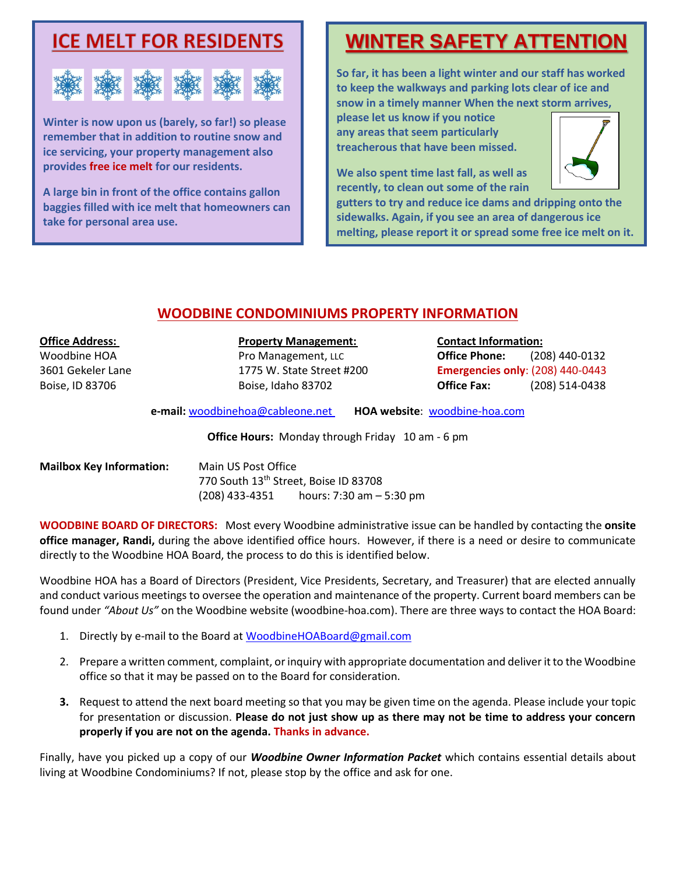

**Winter is now upon us (barely, so far!) so please remember that in addition to routine snow and ice servicing, your property management also provides free ice melt for our residents.** 

**A large bin in front of the office contains gallon baggies filled with ice melt that homeowners can take for personal area use.**

# **WINTER SAFETY ATTENTION**

**So far, it has been a light winter and our staff has worked to keep the walkways and parking lots clear of ice and snow in a timely manner When the next storm arrives,** 

**please let us know if you notice any areas that seem particularly treacherous that have been missed.** 

**We also spent time last fall, as well as recently, to clean out some of the rain** 



**gutters to try and reduce ice dams and dripping onto the sidewalks. Again, if you see an area of dangerous ice melting, please report it or spread some free ice melt on it.**

#### **WOODBINE CONDOMINIUMS PROPERTY INFORMATION**

#### **Office Address: Property Management: Contact Information:**

Woodbine HOA **Pro Management, LLC <b>Office Phone:** (208) 440-0132 3601 Gekeler Lane 1775 W. State Street #200 **Emergencies only**: (208) 440-0443 Boise, ID 83706 Boise, Idaho 83702 **Office Fax:** (208) 514-0438

**e-mail:** [woodbinehoa@cableone.net](mailto:woodbine@cableone.net) **HOA website**: woodbine-hoa.com

**Office Hours:** Monday through Friday 10 am - 6 pm

| <b>Mailbox Key Information:</b> | Main US Post Office<br>770 South 13th Street, Boise ID 83708 |                             |
|---------------------------------|--------------------------------------------------------------|-----------------------------|
|                                 |                                                              |                             |
|                                 | (208) 433-4351                                               | hours: $7:30$ am $-5:30$ pm |

**WOODBINE BOARD OF DIRECTORS:** Most every Woodbine administrative issue can be handled by contacting the **onsite office manager, Randi,** during the above identified office hours. However, if there is a need or desire to communicate directly to the Woodbine HOA Board, the process to do this is identified below.

Woodbine HOA has a Board of Directors (President, Vice Presidents, Secretary, and Treasurer) that are elected annually and conduct various meetings to oversee the operation and maintenance of the property. Current board members can be found under *"About Us"* on the Woodbine website (woodbine-hoa.com). There are three ways to contact the HOA Board:

- 1. Directly by e-mail to the Board a[t WoodbineHOABoard@gmail.com](mailto:WoodbineHOABoard@gmail.com)
- 2. Prepare a written comment, complaint, or inquiry with appropriate documentation and deliver it to the Woodbine office so that it may be passed on to the Board for consideration.
- **3.** Request to attend the next board meeting so that you may be given time on the agenda. Please include your topic for presentation or discussion. **Please do not just show up as there may not be time to address your concern properly if you are not on the agenda. Thanks in advance.**

Finally, have you picked up a copy of our *Woodbine Owner Information Packet* which contains essential details about living at Woodbine Condominiums? If not, please stop by the office and ask for one.